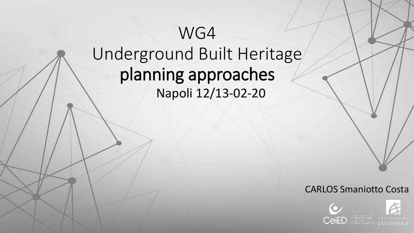# WG4 Underground Built Heritage planning approaches Napoli 12/13-02-20

#### CARLOS Smaniotto Costa

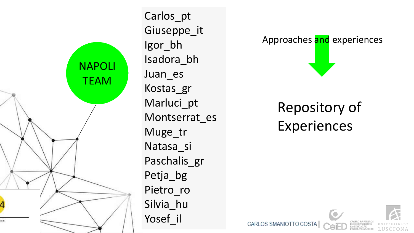

Carlos pt Giuseppe\_it Igor\_bh Isadora\_bh Juan es Kostas\_gr Marluci pt Montserrat es Muge\_tr Natasa si Paschalis gr Petja\_bg Pietro ro Silvia hu Yosef il



## **Repository of Experiences**





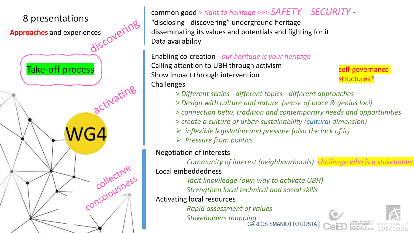

"disclosing - discovering" underground heritage disseminating its values and potentials and fighting for it Data availability

Enabling co-creation - *our heritage is your heritage* Calling attention to UBH through activism Show impact through intervention **Challenges** 

self-governance structures?

- *> Different scales - different topics - different approaches*
- *> Design with culture and nature (sense of place & genius loci)*
- *> connection betw. tradition and contemporary needs and opportunities*
- *> create a culture of urban sustainability (cultural dimension)*
- ➢ *inflexible legislation and pressure (also the lack of it)*
- ➢ *Pressure from politics*

Negotiation of interests

*Community of interest (neighbourhoods) challenge who is a stakeholder* Local embeddedness

*Tacit knowledge (own way to activate UBH) Strengthen local technical and social skills* 

Activating local resources

*Rapid assessment of values*

*Stakeholders mapping*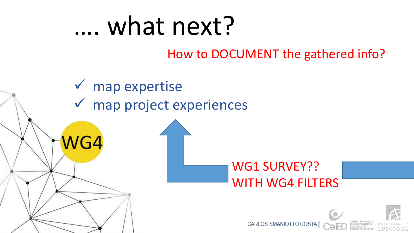# …. what next?

#### How to DOCUMENT the gathered info?

✓ map expertise ✓ map project experiences

 $NG4$ 

#### WG1 SURVEY?? WITH WG4 FILTERS

CARLOS SMANIOTTO C

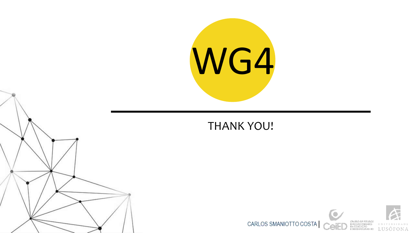

#### THANK YOU!

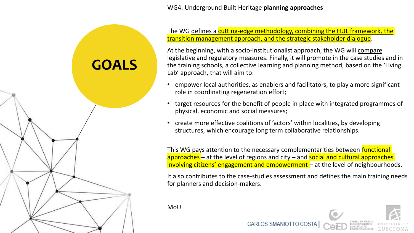WG4: Underground Built Heritage **planning approaches**

The WG defines a cutting-edge methodology, combining the HUL framework, the transition management approach, and the strategic stakeholder dialogue.

At the beginning, with a socio-institutionalist approach, the WG will compare legislative and regulatory measures. Finally, it will promote in the case studies and in the training schools, a collective learning and planning method, based on the 'Living Lab' approach, that will aim to:

- empower local authorities, as enablers and facilitators, to play a more significant role in coordinating regeneration effort;
- target resources for the benefit of people in place with integrated programmes of physical, economic and social measures;
- create more effective coalitions of 'actors' within localities, by developing structures, which encourage long term collaborative relationships.

CARLOS SMANIOTTO

This WG pays attention to the necessary complementarities between **functional** approaches – at the level of regions and city – and social and cultural approaches involving citizens' engagement and empowerment – at the level of neighbourhoods.

It also contributes to the case-studies assessment and defines the main training needs for planners and decision-makers.

MoU

**GOALS**

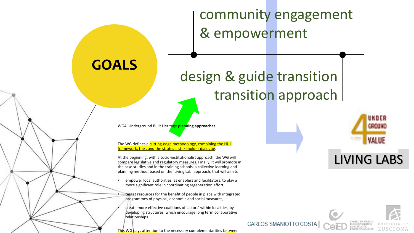community engagement & empowerment

## design & guide transition transition approach

WG4: Underground Built Heritage **planning approaches**

**GOALS**

The WG defines a cutting-edge methodology, combining the HUL framework, the , and the strategic stakeholder dialogue.

At the beginning, with a socio-institutionalist approach, the WG will compare legislative and regulatory measures. Finally, it will promote in the case studies and in the training schools, a collective learning and planning method, based on the 'Living Lab' approach, that will aim to:

- empower local authorities, as enablers and facilitators, to play a more significant role in coordinating regeneration effort;
- target resources for the benefit of people in place with integrated programmes of physical, economic and social measures;

• create more effective coalitions of 'actors' within localities, by developing structures, which encourage long term collaborative relationships.

This WG pays attention to the necessary complementarities between



#### LIVING LABS



CARLOS SMANIOTTO COS'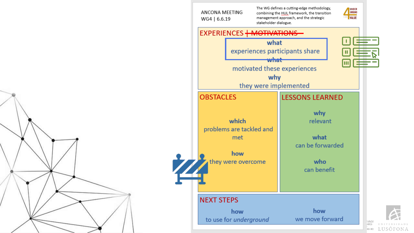



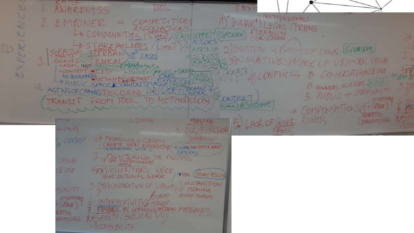**CONTRACTOR** CH 22  $\qquad \qquad \Box$  $700L$ ANARENESS  $0B5$ NC I INSTITUTIONALD COMPELITION NEAK' EMPONER LEGBL FRAME SSOCIA ZiON  $\omega$ COMMUNITIES (Litter) SEPPE + ISADORA **CINESS** ACTORS A STERKE HOLDERS /  $\bigcirc$ sk 9BOTON UP STOP DOWN GIMSEPTE PPING EXPE CASES 3)NEGATIVE SPIACE OF UBH-LEN VALUE , INST ROSTASHANDARTH JA & CONFLICTS B. CONSCRIPTIONS USE WGE+CARLOS+BOOR · CONTEXT O NO BOUNDARIES JET  $\Delta + 2$ IGHBRILLED B. WINNERS ULLOSERS TYLLIGE B PUBLIC SPACE COMMUNITY VALUE 4. AGENISOFCHANG/DECISIONS 3. PUBLIC + COMMUNITY METHODOLOGY Z DNICKI TRANSIT FROM TOOL TO ENVIRTIME COMPENSATIONS(E+SPACE) 7UAN HGILISEPPE 长尾川氏 RIGHTS **COMMUNITY 1065 UNY** a LACK OF GOVER LISSUR **MEAN NG** LING USE/FUNCTION **> FRAMEWORK CONTEXT** STREOLIC' COUTEXT REATE NEW SNOWLEDGE + DIGITAL HAT A SACE PLATFORMS I'V INTORING THE PROCESS VAWE **SUSF** 400 VOLUNTARY Wee DICOL (STORY TELLING INSTITUTIONAL WORK CONSTANCTION 5. DEN ONSTRATION OF LABOUR UNITY OF MEANING CONVE POLice, refere **ENVIRONMENT** TERACTIVITY'S STARE 4  $56900$ A RACEL AN COMMUNICATION MEGASES 四千 DAFETY/SECURITY MNITY LESS ACCESSIBILITY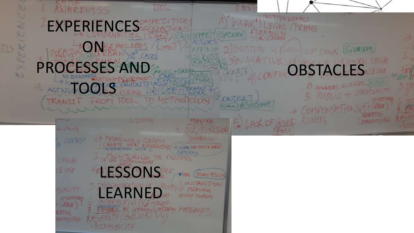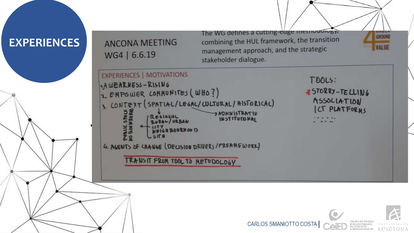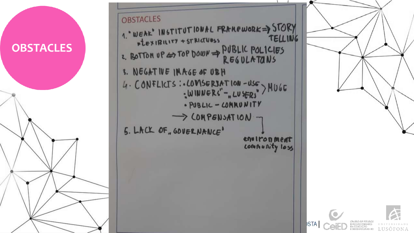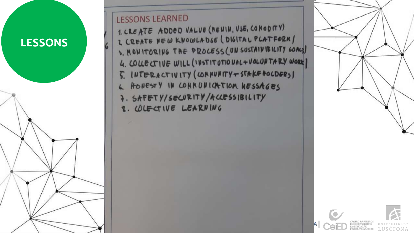

- 8. WLECTIVE LEARNING
- 7. SAFETY/SECURITY/ACCESSIBILITY
- 6. HONESTY IN COMMUNICATION KESSAGES
- 5. INTERACTIVITY (CORNUNITY+STAKE AOCDERS)
- 1. CREATE ADDED VALUE (RENIN, USE, CONODITY) 2 CREATE NEW KNOWLADGE (DIGITAL PLATFORM) S. MONITORING THE PROCESS (UN SUSTAINIBILITY GOALS) 4. COLLECTIVE WILL (INSTITUTIONAL + VOLUNTARY WORK)
- **LESSONS LEARNED**

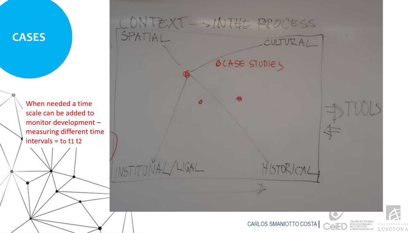

When needed a time scale can be added to monitor development – measuring different time intervals = to t1 t2

CONTEXT - NUTTE PROCESS SPATIAL CULTURAL **BCASE STUDIES** DOUS INSTITUNAL/LIGAL ISTORICAL CARLOS SMANIOTTO COSTA LUSOFONA